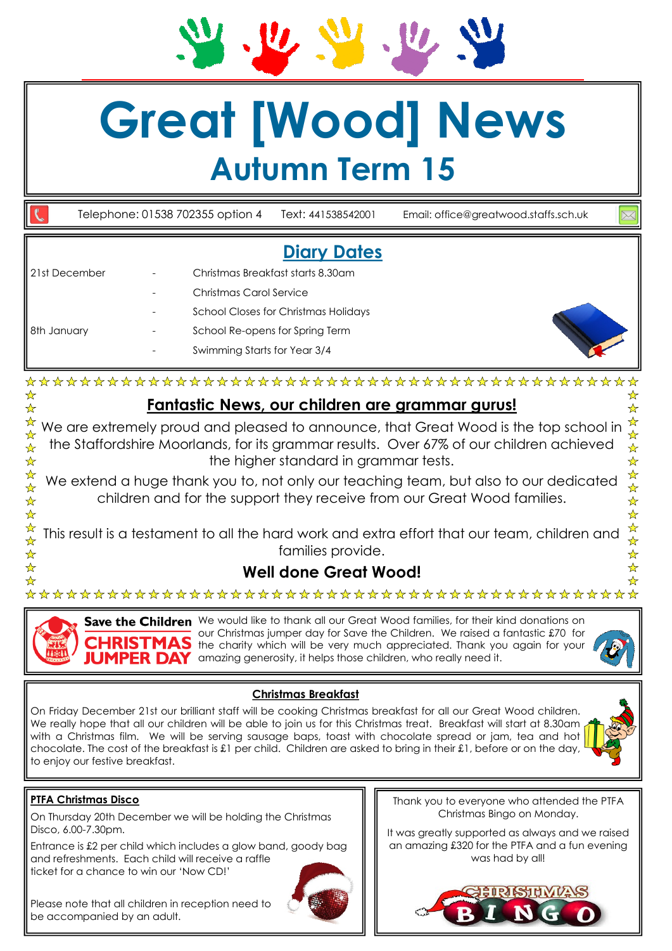# **Great [Wood] News Autumn Term 15**

Telephone: 01538 702355 option 4 Text: 441538542001 Email: office@greatwood.staffs.sch.uk

## **Diary Dates**

| l 21st December<br>18th January | Christmas Breakfast starts 8.30am           |
|---------------------------------|---------------------------------------------|
|                                 | Christmas Carol Service                     |
|                                 | <b>School Closes for Christmas Holidays</b> |
|                                 | School Re-opens for Spring Term             |
|                                 | Swimming Starts for Year 3/4                |



☆

 $\frac{\lambda}{\lambda}$ 

 $\frac{\lambda}{\lambda}$ 

 $\frac{1}{M}$ 

 $\mathbf{\hat{x}}$ 

 $\mathbf{\hat{x}}$ 

 $\frac{\lambda}{\lambda}$ 

☆

### **Fantastic News, our children are grammar gurus!**

☆ We are extremely proud and pleased to announce, that Great Wood is the top school in  $\frac{1}{\sqrt{2}}$ the Staffordshire Moorlands, for its grammar results. Over 67% of our children achieved  $\frac{1}{\mathcal{N}}$ the higher standard in grammar tests. ☆  $\mathbf{\hat{x}}$ ☆

We extend a huge thank you to, not only our teaching team, but also to our dedicated children and for the support they receive from our Great Wood families.

24 24 This result is a testament to all the hard work and extra effort that our team, children and families provide.  $\frac{1}{\sqrt{2}}$ 

### **Well done Great Wood!**

☆

☆

 $\frac{1}{\sqrt{2}}$  $\frac{1}{\sqrt{2}}$ 

 $\frac{1}{\sqrt{2}}$ 

☆

 $\frac{1}{2}$ 

Save the Children We would like to thank all our Great Wood families, for their kind donations on our Christmas jumper day for Save the Children. We raised a fantastic £70 for the charity which will be very much appreciated. Thank you again for your JUMPER DAY amazing generosity, it helps those children, who really need it.

### **Christmas Breakfast**

On Friday December 21st our brilliant staff will be cooking Christmas breakfast for all our Great Wood children. We really hope that all our children will be able to join us for this Christmas treat. Breakfast will start at 8.30am with a Christmas film. We will be serving sausage baps, toast with chocolate spread or jam, tea and hot chocolate. The cost of the breakfast is £1 per child. Children are asked to bring in their £1, before or on the day, to enjoy our festive breakfast.

### **PTFA Christmas Disco**

On Thursday 20th December we will be holding the Christmas Disco, 6.00-7.30pm.

Entrance is £2 per child which includes a glow band, goody bag and refreshments. Each child will receive a raffle ticket for a chance to win our 'Now CD!'

Please note that all children in reception need to be accompanied by an adult.

Thank you to everyone who attended the PTFA Christmas Bingo on Monday.

It was greatly supported as always and we raised an amazing £320 for the PTFA and a fun evening was had by all!